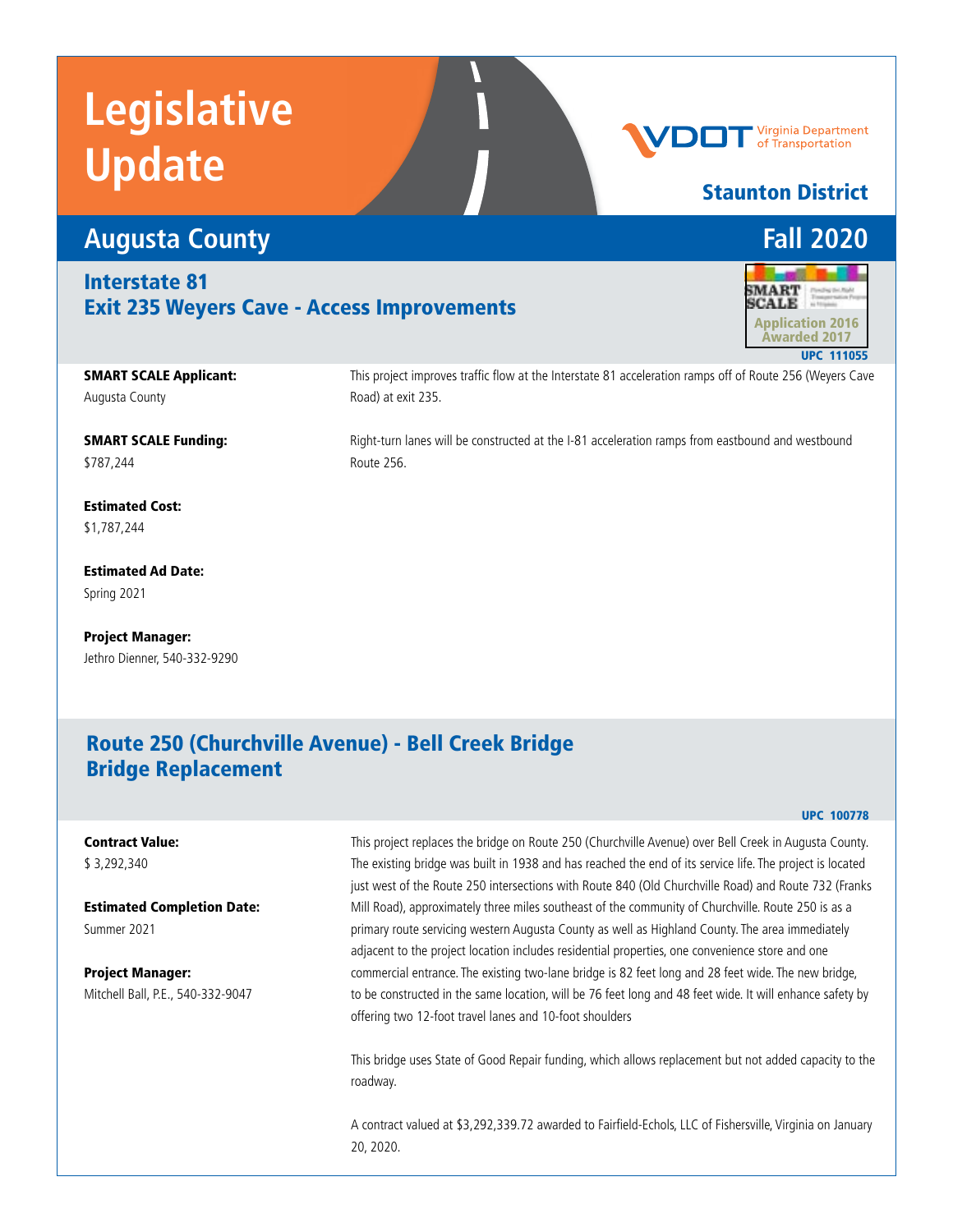

#### Staunton District

#### **Augusta County Fall 2020** Interstate 81 **SMART** Exit 235 Weyers Cave - Access Improvements **SCALE** Application 2016 Awarded 2017 UPC 111055 SMART SCALE Applicant: This project improves traffic flow at the Interstate 81 acceleration ramps off of Route 256 (Weyers Cave Road) at exit 235. Augusta County SMART SCALE Funding: Right-turn lanes will be constructed at the I-81 acceleration ramps from eastbound and westbound Route 256. \$787,244

Estimated Cost: \$1,787,244

Estimated Ad Date: Spring 2021

Project Manager: Jethro Dienner, 540-332-9290

#### Route 250 (Churchville Avenue) - Bell Creek Bridge Bridge Replacement

#### UPC 100778

#### Contract Value:

\$ 3,292,340

Estimated Completion Date: Summer 2021

Project Manager: Mitchell Ball, P.E., 540-332-9047

This project replaces the bridge on Route 250 (Churchville Avenue) over Bell Creek in Augusta County. The existing bridge was built in 1938 and has reached the end of its service life. The project is located just west of the Route 250 intersections with Route 840 (Old Churchville Road) and Route 732 (Franks Mill Road), approximately three miles southeast of the community of Churchville. Route 250 is as a primary route servicing western Augusta County as well as Highland County. The area immediately adjacent to the project location includes residential properties, one convenience store and one commercial entrance. The existing two-lane bridge is 82 feet long and 28 feet wide. The new bridge, to be constructed in the same location, will be 76 feet long and 48 feet wide. It will enhance safety by offering two 12-foot travel lanes and 10-foot shoulders

This bridge uses State of Good Repair funding, which allows replacement but not added capacity to the roadway.

A contract valued at \$3,292,339.72 awarded to Fairfield-Echols, LLC of Fishersville, Virginia on January 20, 2020.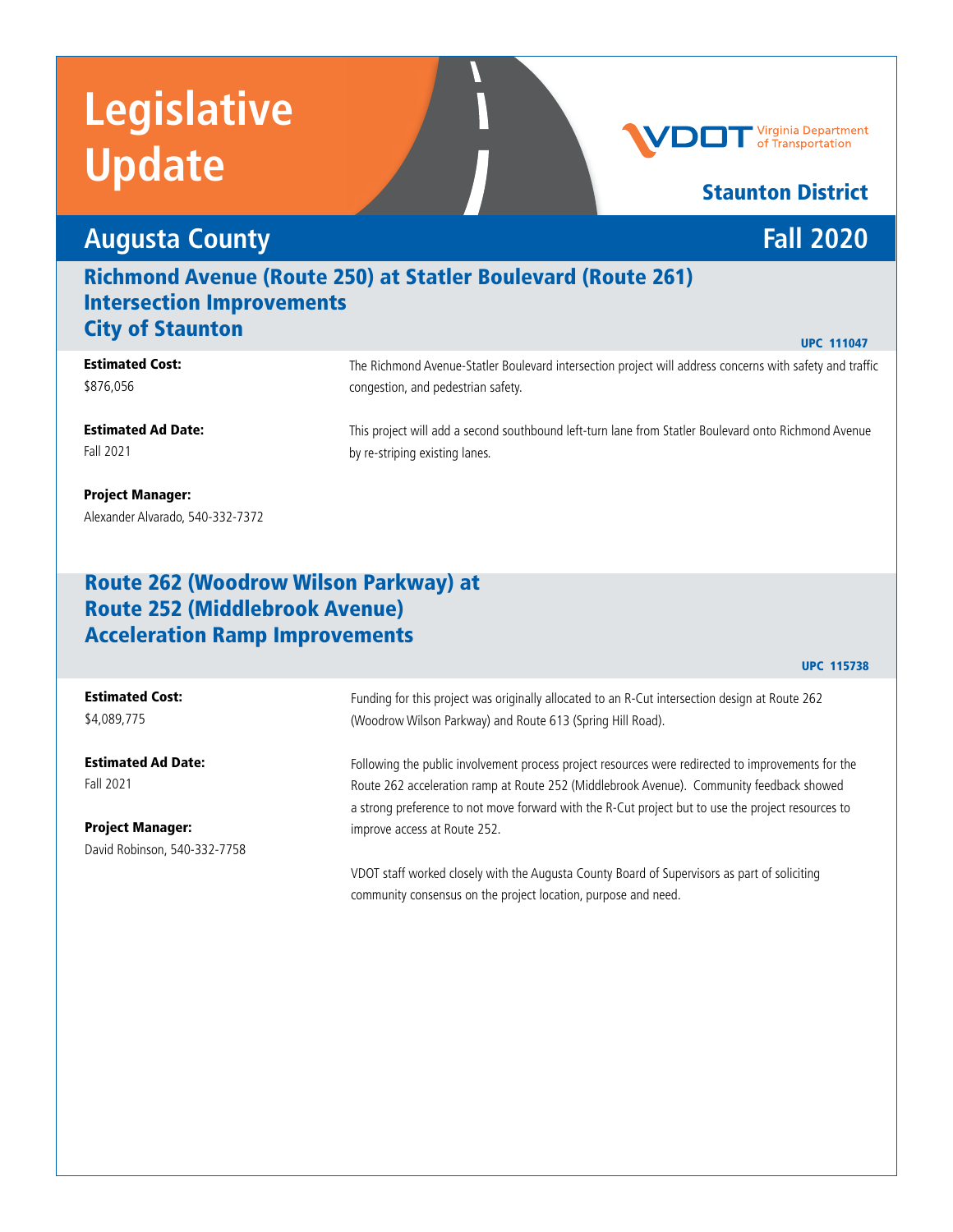## **Augusta County Fall 2020**

### Richmond Avenue (Route 250) at Statler Boulevard (Route 261) Intersection Improvements **City of Staunton** UPC 111047

#### Estimated Cost: \$876,056

The Richmond Avenue-Statler Boulevard intersection project will address concerns with safety and traffic congestion, and pedestrian safety.

Estimated Ad Date: Fall 2021

This project will add a second southbound left-turn lane from Statler Boulevard onto Richmond Avenue by re-striping existing lanes.

#### Project Manager: Alexander Alvarado, 540-332-7372

#### Route 262 (Woodrow Wilson Parkway) at Route 252 (Middlebrook Avenue) Acceleration Ramp Improvements

### Estimated Cost:

\$4,089,775

Estimated Ad Date: Fall 2021

Project Manager: David Robinson, 540-332-7758

Funding for this project was originally allocated to an R-Cut intersection design at Route 262 (Woodrow Wilson Parkway) and Route 613 (Spring Hill Road).

Following the public involvement process project resources were redirected to improvements for the Route 262 acceleration ramp at Route 252 (Middlebrook Avenue). Community feedback showed a strong preference to not move forward with the R-Cut project but to use the project resources to improve access at Route 252.

VDOT staff worked closely with the Augusta County Board of Supervisors as part of soliciting community consensus on the project location, purpose and need.

#### **Virginia Department** of Transportation

### Staunton District

UPC 115738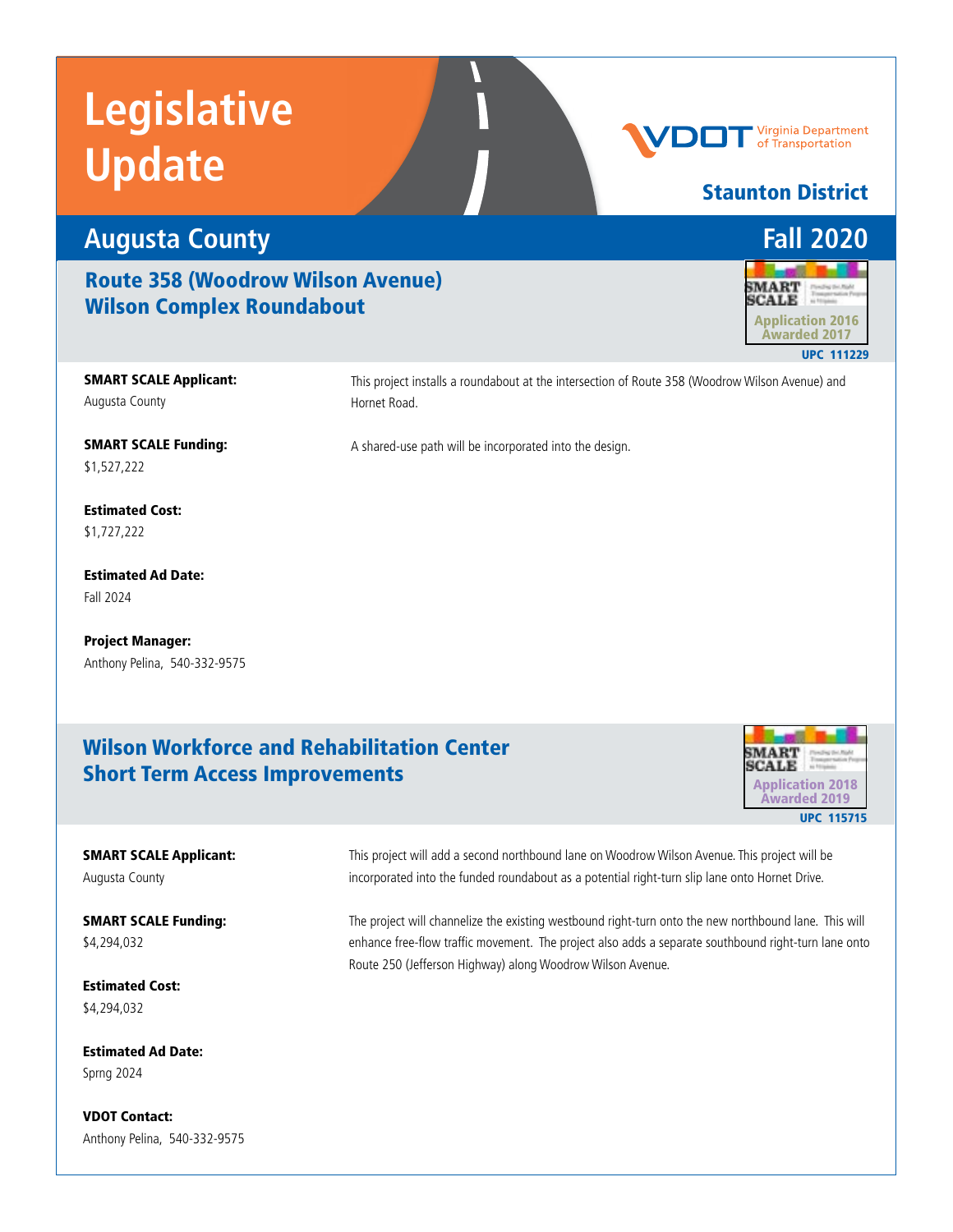

#### Route 358 (Woodrow Wilson Avenue) Wilson Complex Roundabout

SMART SCALE Applicant: Augusta County

This project installs a roundabout at the intersection of Route 358 (Woodrow Wilson Avenue) and Hornet Road.

A shared-use path will be incorporated into the design.

SMART SCALE Funding: \$1,527,222

Estimated Cost: \$1,727,222

Estimated Ad Date: Fall 2024

Project Manager: Anthony Pelina, 540-332-9575

#### Wilson Workforce and Rehabilitation Center Short Term Access Improvements



#### SMART SCALE Applicant: Augusta County

SMART SCALE Funding: \$4,294,032

The project will channelize the existing westbound right-turn onto the new northbound lane. This will enhance free-flow traffic movement. The project also adds a separate southbound right-turn lane onto Route 250 (Jefferson Highway) along Woodrow Wilson Avenue.

This project will add a second northbound lane on Woodrow Wilson Avenue. This project will be incorporated into the funded roundabout as a potential right-turn slip lane onto Hornet Drive.

Estimated Cost: \$4,294,032

Estimated Ad Date: Sprng 2024

VDOT Contact: Anthony Pelina, 540-332-9575 **SMART SCALE** 

Staunton District

Virginia Department of Transportation

UPC 111229 Application 2016 Awarded 2017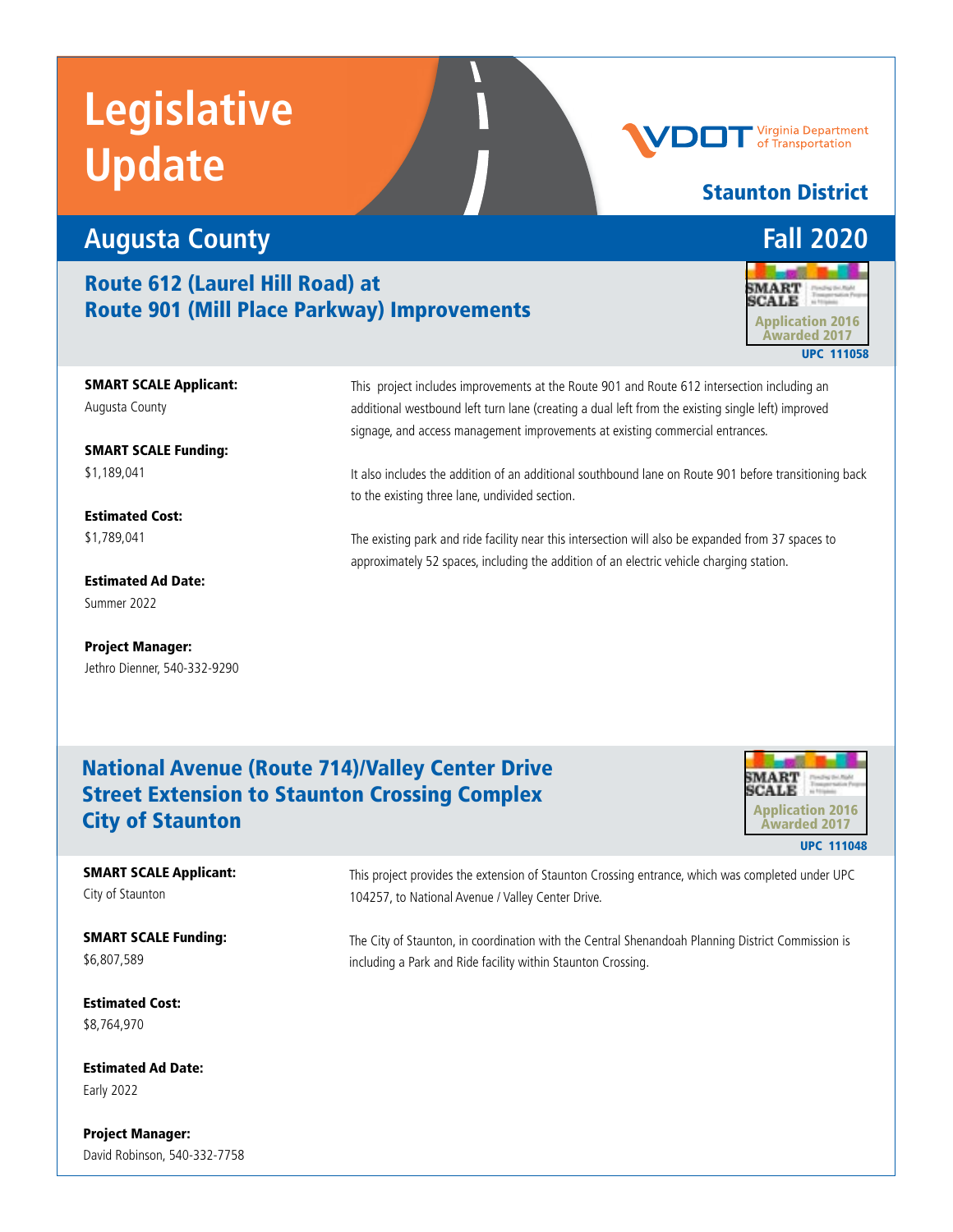# **Augusta County Fall 2020**

#### Route 612 (Laurel Hill Road) at Route 901 (Mill Place Parkway) Improvements



Awarded 2017

UPC 111058

Staunton District

**Virginia Department** of Transportation

SMART SCALE Applicant: Augusta County

SMART SCALE Funding: \$1,189,041

Estimated Cost: \$1,789,041

Estimated Ad Date: Summer 2022

Project Manager: Jethro Dienner, 540-332-9290 This project includes improvements at the Route 901 and Route 612 intersection including an additional westbound left turn lane (creating a dual left from the existing single left) improved signage, and access management improvements at existing commercial entrances.

It also includes the addition of an additional southbound lane on Route 901 before transitioning back to the existing three lane, undivided section.

The existing park and ride facility near this intersection will also be expanded from 37 spaces to approximately 52 spaces, including the addition of an electric vehicle charging station.

#### National Avenue (Route 714)/Valley Center Drive Street Extension to Staunton Crossing Complex City of Staunton



#### SMART SCALE Applicant: City of Staunton

SMART SCALE Funding: \$6,807,589

Estimated Cost: \$8,764,970

Estimated Ad Date: Early 2022

Project Manager: David Robinson, 540-332-7758 This project provides the extension of Staunton Crossing entrance, which was completed under UPC 104257, to National Avenue / Valley Center Drive.

The City of Staunton, in coordination with the Central Shenandoah Planning District Commission is including a Park and Ride facility within Staunton Crossing.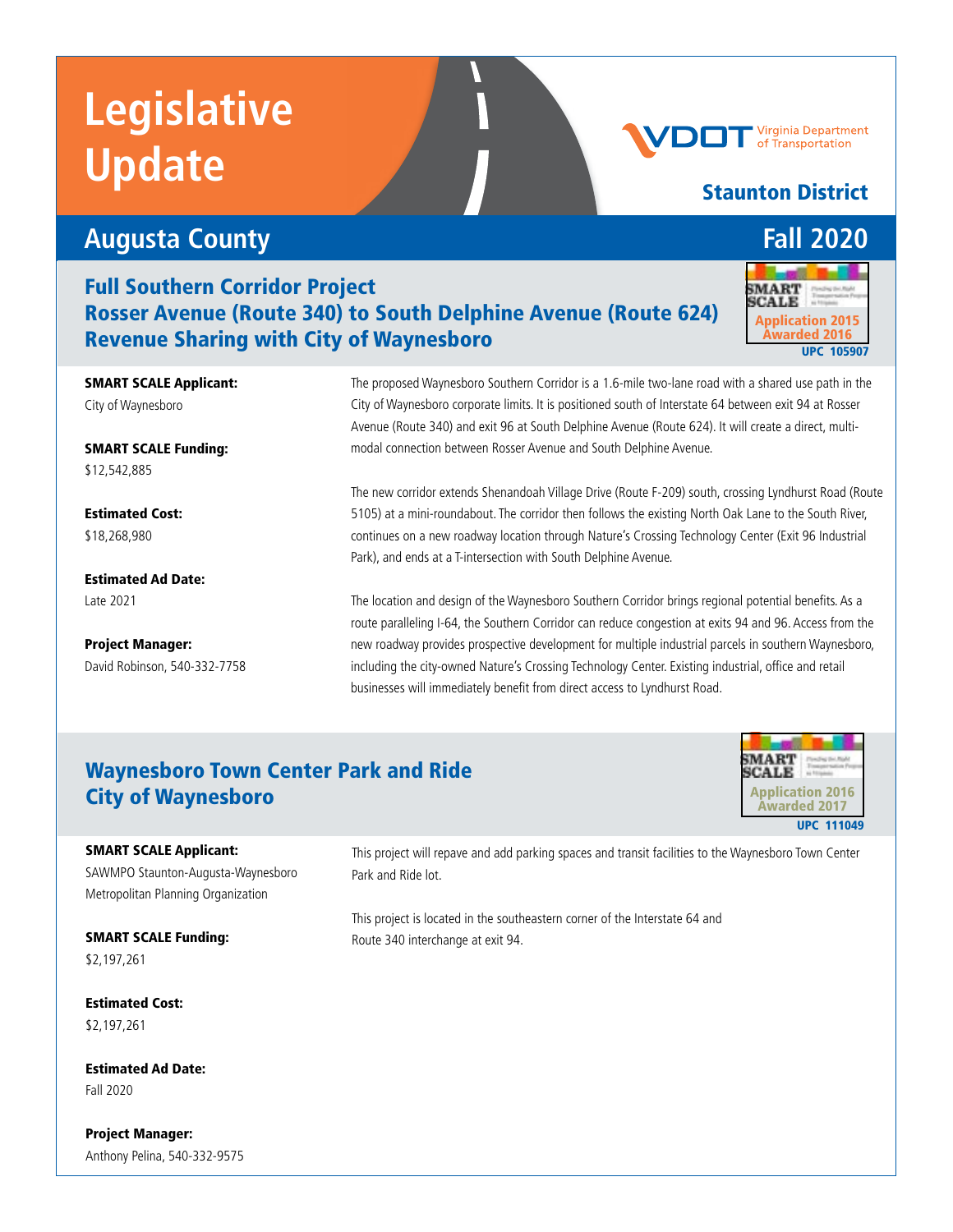## **Augusta County Fall 2020**

SMART SCALE Applicant:

SMART SCALE Funding:

City of Waynesboro

Full Southern Corridor Project Rosser Avenue (Route 340) to South Delphine Avenue (Route 624) Revenue Sharing with City of Waynesboro **UPC 105907** Neverthe Awarded 2016

> The proposed Waynesboro Southern Corridor is a 1.6-mile two-lane road with a shared use path in the City of Waynesboro corporate limits. It is positioned south of Interstate 64 between exit 94 at Rosser Avenue (Route 340) and exit 96 at South Delphine Avenue (Route 624). It will create a direct, multimodal connection between Rosser Avenue and South Delphine Avenue.

The new corridor extends Shenandoah Village Drive (Route F-209) south, crossing Lyndhurst Road (Route 5105) at a mini-roundabout. The corridor then follows the existing North Oak Lane to the South River, continues on a new roadway location through Nature's Crossing Technology Center (Exit 96 Industrial Park), and ends at a T-intersection with South Delphine Avenue.

The location and design of the Waynesboro Southern Corridor brings regional potential benefits. As a route paralleling I-64, the Southern Corridor can reduce congestion at exits 94 and 96. Access from the new roadway provides prospective development for multiple industrial parcels in southern Waynesboro, including the city-owned Nature's Crossing Technology Center. Existing industrial, office and retail businesses will immediately benefit from direct access to Lyndhurst Road.

### Waynesboro Town Center Park and Ride City of Waynesboro

#### SMART SCALE Applicant:

SAWMPO Staunton-Augusta-Waynesboro Metropolitan Planning Organization

SMART SCALE Funding: \$2,197,261

Estimated Cost: \$2,197,261

Estimated Ad Date: Fall 2020

Project Manager: Anthony Pelina, 540-332-9575

This project will repave and add parking spaces and transit facilities to the Waynesboro Town Center Park and Ride lot.

This project is located in the southeastern corner of the Interstate 64 and Route 340 interchange at exit 94.

Staunton District

**SCALE** 



**Virginia Department** of Transportation





\$12,542,885

Estimated Ad Date: Late 2021

Project Manager: David Robinson, 540-332-7758 SMART

Application 2015 Awarded 2016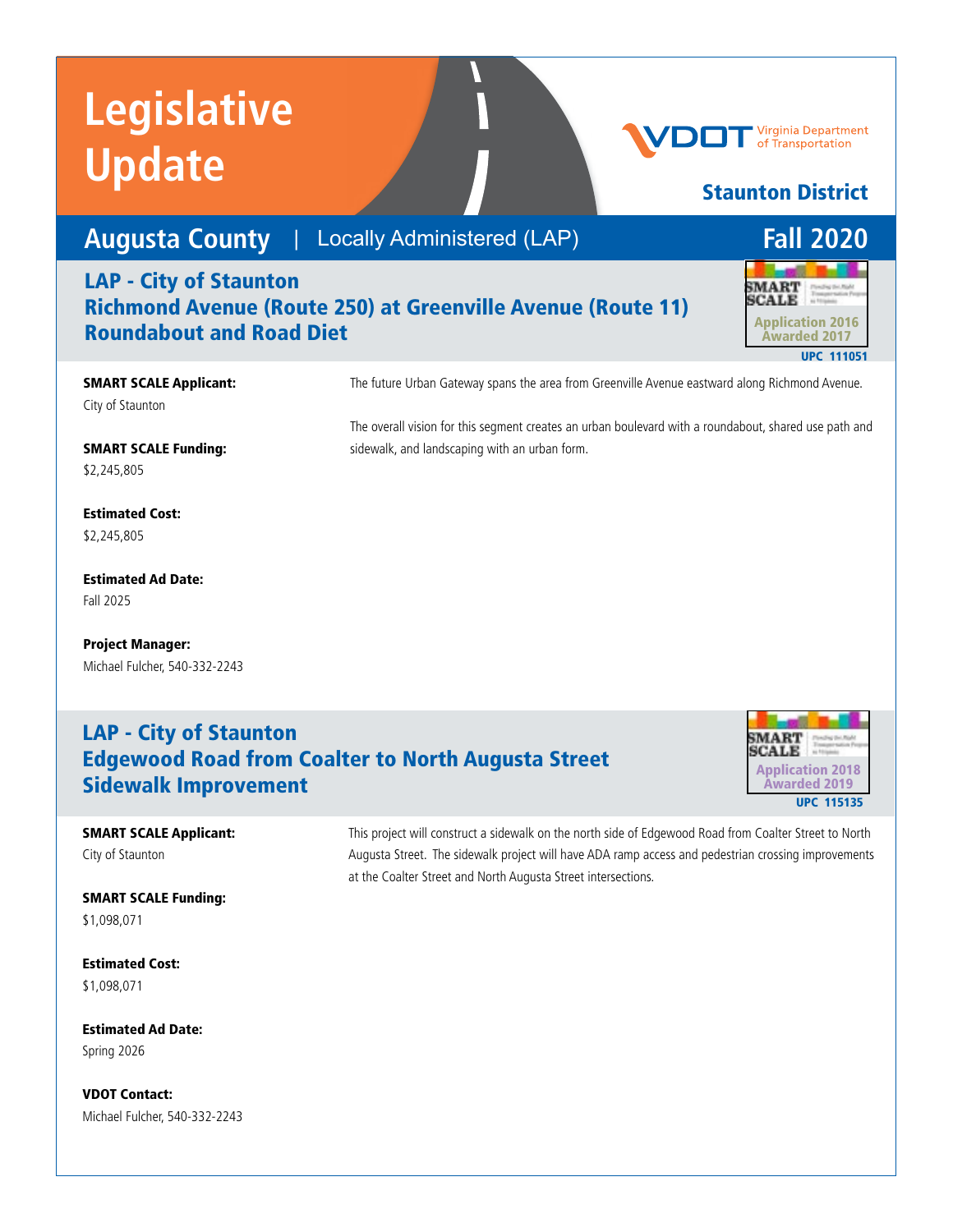# **Augusta County** | Locally Administered (LAP) **Fall 2020**

#### LAP - City of Staunton Richmond Avenue (Route 250) at Greenville Avenue (Route 11) Roundabout and Road Diet



**Virginia Department** of Transportation

Staunton District

SMART SCALE Applicant: City of Staunton

The future Urban Gateway spans the area from Greenville Avenue eastward along Richmond Avenue.

SMART SCALE Funding: \$2,245,805

Estimated Cost: \$2,245,805

Estimated Ad Date: Fall 2025

Project Manager: Michael Fulcher, 540-332-2243

#### The overall vision for this segment creates an urban boulevard with a roundabout, shared use path and sidewalk, and landscaping with an urban form.

#### LAP - City of Staunton Edgewood Road from Coalter to North Augusta Street Sidewalk Improvement



SMART SCALE Applicant: City of Staunton

SMART SCALE Funding: \$1,098,071

Estimated Cost: \$1,098,071

Estimated Ad Date: Spring 2026

VDOT Contact: Michael Fulcher, 540-332-2243 This project will construct a sidewalk on the north side of Edgewood Road from Coalter Street to North Augusta Street. The sidewalk project will have ADA ramp access and pedestrian crossing improvements at the Coalter Street and North Augusta Street intersections.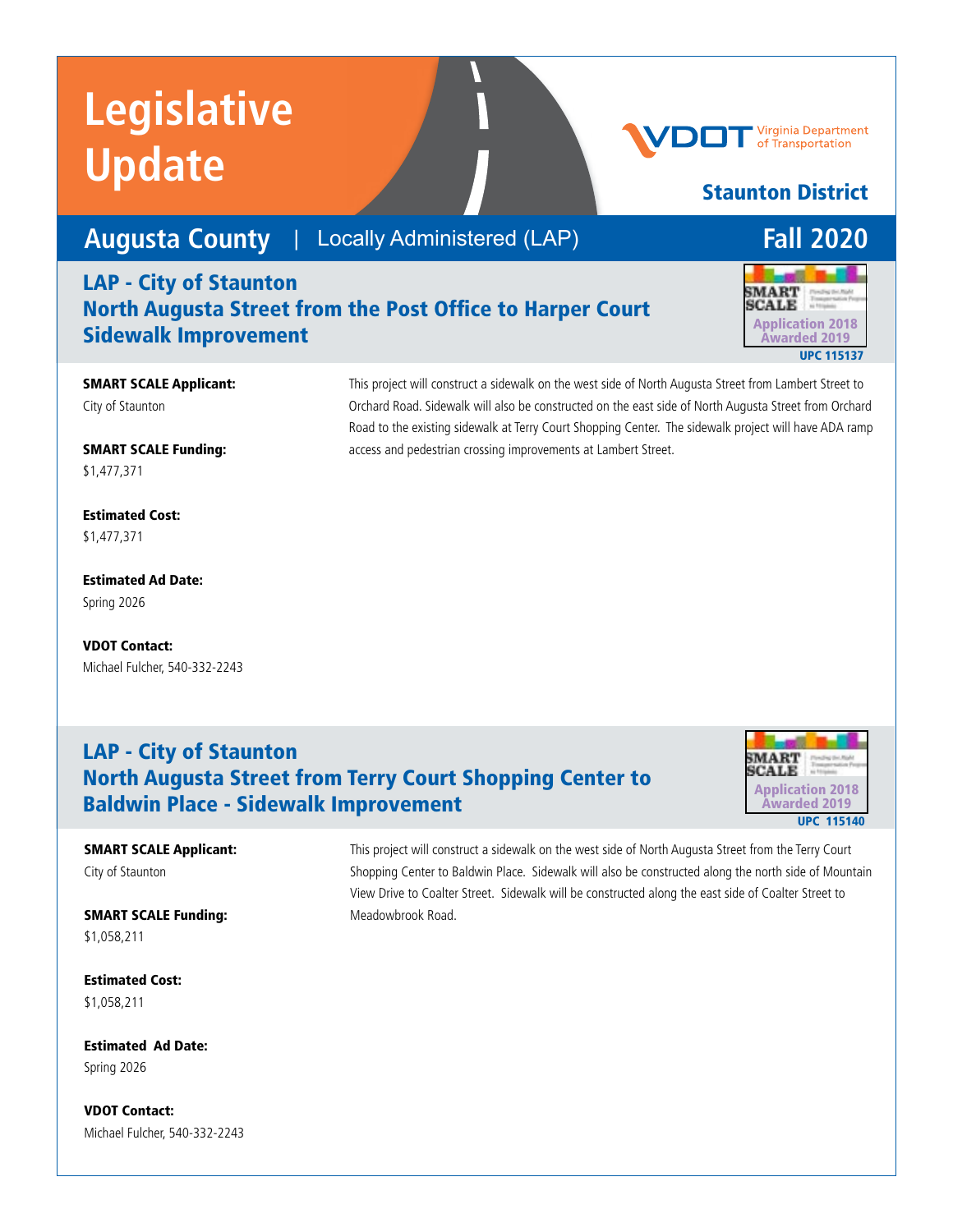**Augusta County** | Locally Administered (LAP) **Fall 2020** 

#### LAP - City of Staunton North Augusta Street from the Post Office to Harper Court Sidewalk Improvement



Staunton District

**Virginia Department** of Transportation

#### SMART SCALE Applicant: City of Staunton

SMART SCALE Funding: \$1,477,371

Estimated Cost: \$1,477,371

Estimated Ad Date: Spring 2026

VDOT Contact: Michael Fulcher, 540-332-2243

#### This project will construct a sidewalk on the west side of North Augusta Street from Lambert Street to Orchard Road. Sidewalk will also be constructed on the east side of North Augusta Street from Orchard Road to the existing sidewalk at Terry Court Shopping Center. The sidewalk project will have ADA ramp access and pedestrian crossing improvements at Lambert Street.

### LAP - City of Staunton North Augusta Street from Terry Court Shopping Center to Baldwin Place - Sidewalk Improvement



#### SMART SCALE Applicant: City of Staunton

SMART SCALE Funding: \$1,058,211

Estimated Cost: \$1,058,211

Estimated Ad Date: Spring 2026

VDOT Contact: Michael Fulcher, 540-332-2243 This project will construct a sidewalk on the west side of North Augusta Street from the Terry Court Shopping Center to Baldwin Place. Sidewalk will also be constructed along the north side of Mountain View Drive to Coalter Street. Sidewalk will be constructed along the east side of Coalter Street to Meadowbrook Road.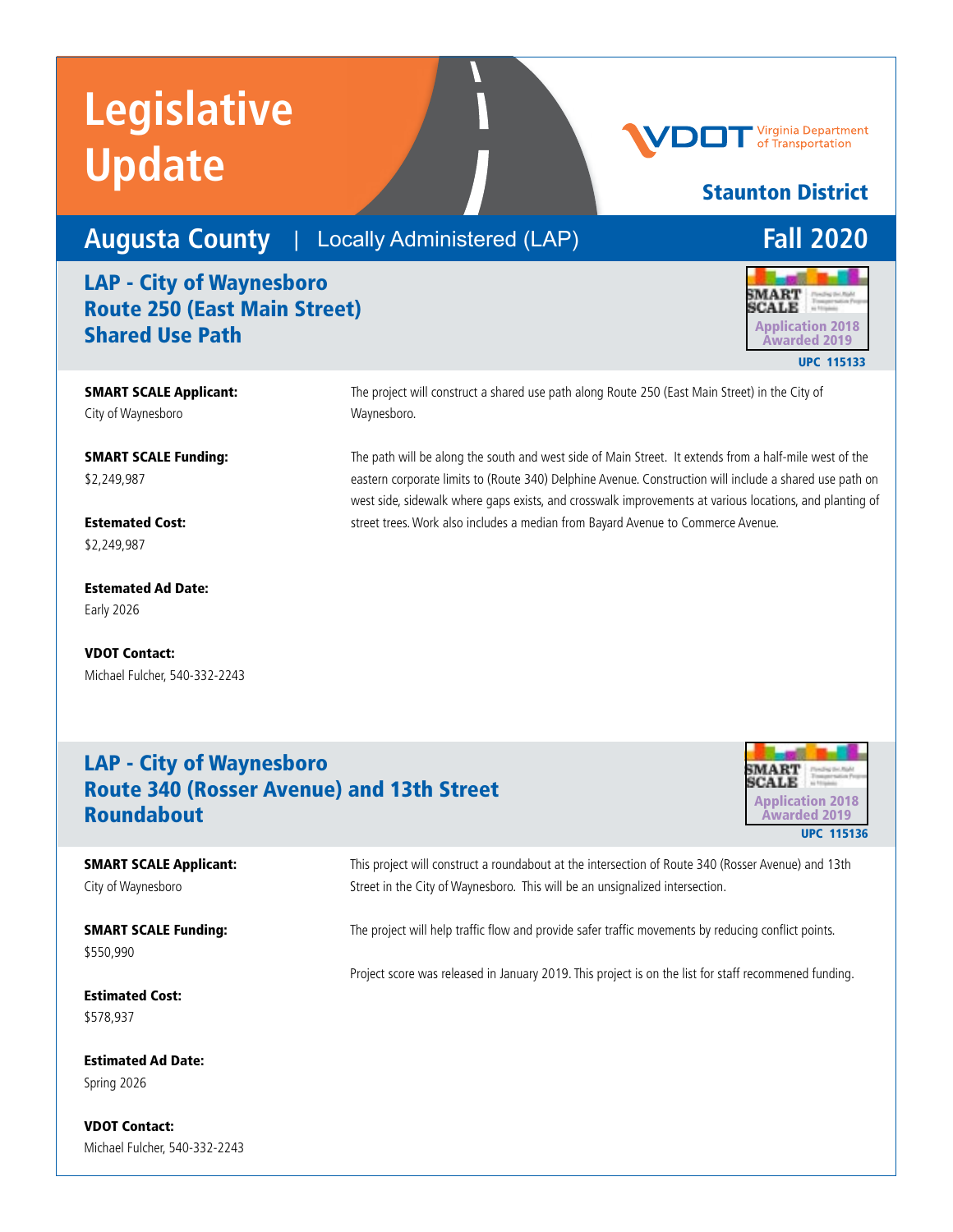### **Augusta County** | Locally Administered (LAP) **Fall 2020**

### LAP - City of Waynesboro Route 250 (East Main Street) **Shared Use Path** Application 2018

SMART SCALE Applicant: City of Waynesboro

SMART SCALE Funding: \$2,249,987

Estemated Cost: \$2,249,987

Estemated Ad Date: Early 2026

VDOT Contact: Michael Fulcher, 540-332-2243 The project will construct a shared use path along Route 250 (East Main Street) in the City of Waynesboro.

The path will be along the south and west side of Main Street. It extends from a half-mile west of the eastern corporate limits to (Route 340) Delphine Avenue. Construction will include a shared use path on west side, sidewalk where gaps exists, and crosswalk improvements at various locations, and planting of street trees. Work also includes a median from Bayard Avenue to Commerce Avenue.

### LAP - City of Waynesboro Route 340 (Rosser Avenue) and 13th Street Roundabout Application 2018



SMART SCALE Applicant: City of Waynesboro

SMART SCALE Funding: \$550,990

Estimated Cost: \$578,937

Estimated Ad Date: Spring 2026

VDOT Contact: Michael Fulcher, 540-332-2243 This project will construct a roundabout at the intersection of Route 340 (Rosser Avenue) and 13th Street in the City of Waynesboro. This will be an unsignalized intersection.

The project will help traffic flow and provide safer traffic movements by reducing conflict points.

Project score was released in January 2019. This project is on the list for staff recommened funding.



Staunton District

**Virginia Department** of Transportation

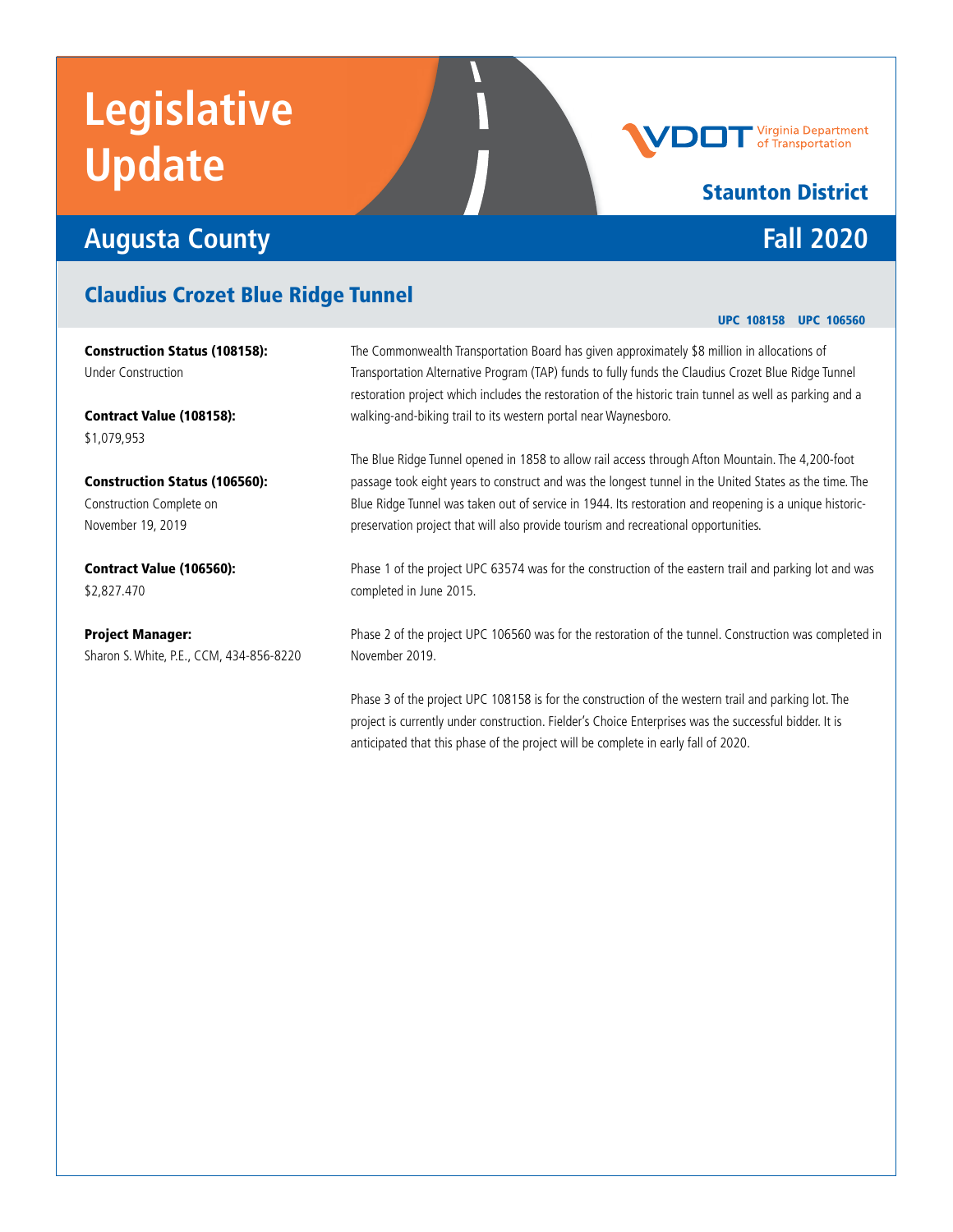## **Augusta County Fall 2020**

### Claudius Crozet Blue Ridge Tunnel

Construction Status (108158): Under Construction

Contract Value (108158): \$1,079,953

Construction Status (106560): Construction Complete on November 19, 2019

Contract Value (106560): \$2,827.470

Project Manager: Sharon S. White, P.E., CCM, 434-856-8220

The Commonwealth Transportation Board has given approximately \$8 million in allocations of Transportation Alternative Program (TAP) funds to fully funds the Claudius Crozet Blue Ridge Tunnel restoration project which includes the restoration of the historic train tunnel as well as parking and a walking-and-biking trail to its western portal near Waynesboro.

The Blue Ridge Tunnel opened in 1858 to allow rail access through Afton Mountain. The 4,200-foot passage took eight years to construct and was the longest tunnel in the United States as the time. The Blue Ridge Tunnel was taken out of service in 1944. Its restoration and reopening is a unique historicpreservation project that will also provide tourism and recreational opportunities.

Phase 1 of the project UPC 63574 was for the construction of the eastern trail and parking lot and was completed in June 2015.

Phase 2 of the project UPC 106560 was for the restoration of the tunnel. Construction was completed in November 2019.

Phase 3 of the project UPC 108158 is for the construction of the western trail and parking lot. The project is currently under construction. Fielder's Choice Enterprises was the successful bidder. It is anticipated that this phase of the project will be complete in early fall of 2020.

#### UPC 108158 UPC 106560

### Staunton District

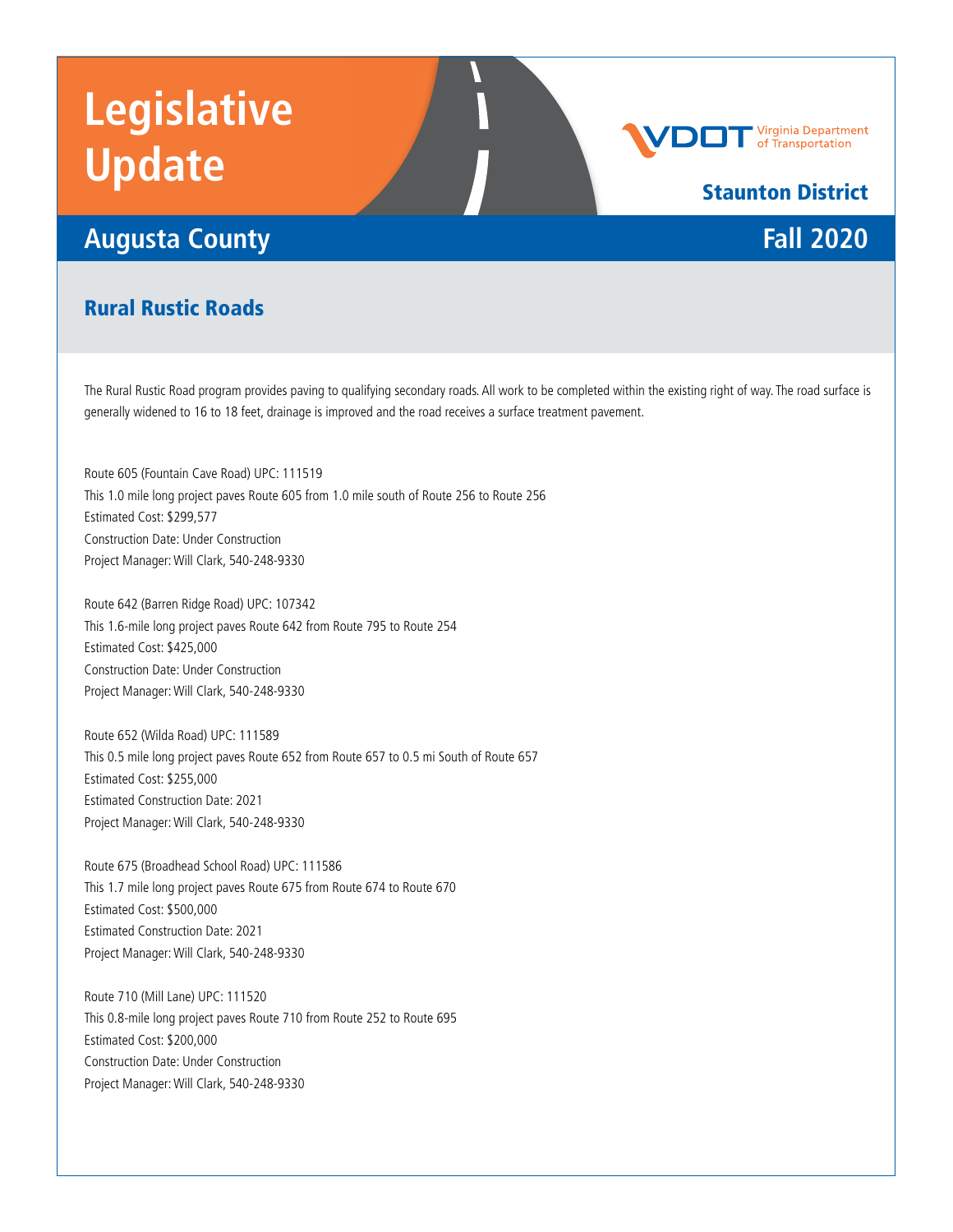## **Augusta County Fall 2020**

**Virginia Department**<br>of Transportation

### Staunton District

#### Rural Rustic Roads

The Rural Rustic Road program provides paving to qualifying secondary roads. All work to be completed within the existing right of way. The road surface is generally widened to 16 to 18 feet, drainage is improved and the road receives a surface treatment pavement.

Route 605 (Fountain Cave Road) UPC: 111519 This 1.0 mile long project paves Route 605 from 1.0 mile south of Route 256 to Route 256 Estimated Cost: \$299,577 Construction Date: Under Construction Project Manager: Will Clark, 540-248-9330

Route 642 (Barren Ridge Road) UPC: 107342 This 1.6-mile long project paves Route 642 from Route 795 to Route 254 Estimated Cost: \$425,000 Construction Date: Under Construction Project Manager: Will Clark, 540-248-9330

Route 652 (Wilda Road) UPC: 111589 This 0.5 mile long project paves Route 652 from Route 657 to 0.5 mi South of Route 657 Estimated Cost: \$255,000 Estimated Construction Date: 2021 Project Manager: Will Clark, 540-248-9330

Route 675 (Broadhead School Road) UPC: 111586 This 1.7 mile long project paves Route 675 from Route 674 to Route 670 Estimated Cost: \$500,000 Estimated Construction Date: 2021 Project Manager: Will Clark, 540-248-9330

Route 710 (Mill Lane) UPC: 111520 This 0.8-mile long project paves Route 710 from Route 252 to Route 695 Estimated Cost: \$200,000 Construction Date: Under Construction Project Manager: Will Clark, 540-248-9330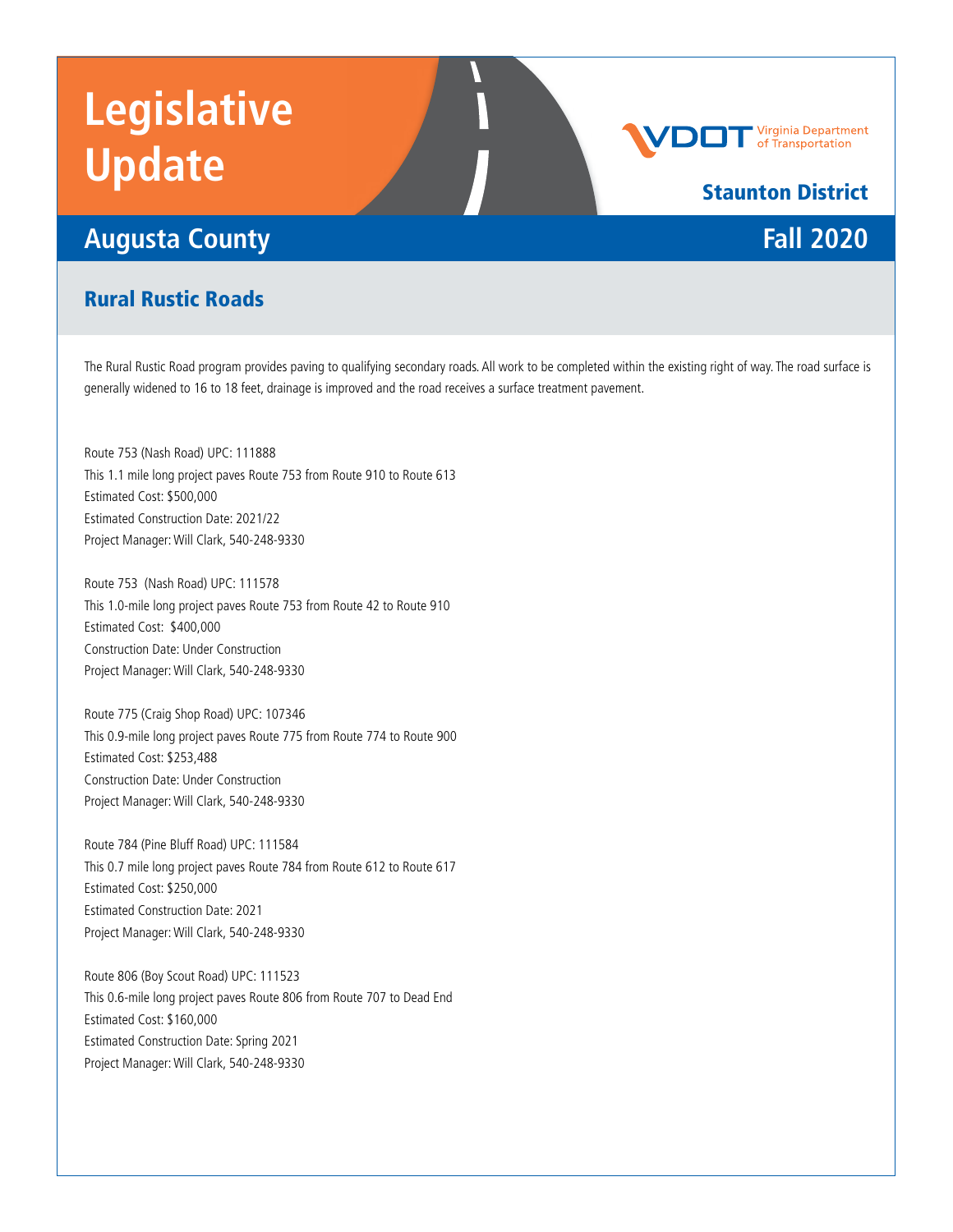## **Augusta County Fall 2020**

# **Virginia Department**<br>of Transportation

## Staunton District

#### Rural Rustic Roads

The Rural Rustic Road program provides paving to qualifying secondary roads. All work to be completed within the existing right of way. The road surface is generally widened to 16 to 18 feet, drainage is improved and the road receives a surface treatment pavement.

Route 753 (Nash Road) UPC: 111888 This 1.1 mile long project paves Route 753 from Route 910 to Route 613 Estimated Cost: \$500,000 Estimated Construction Date: 2021/22 Project Manager: Will Clark, 540-248-9330

Route 753 (Nash Road) UPC: 111578 This 1.0-mile long project paves Route 753 from Route 42 to Route 910 Estimated Cost: \$400,000 Construction Date: Under Construction Project Manager: Will Clark, 540-248-9330

Route 775 (Craig Shop Road) UPC: 107346 This 0.9-mile long project paves Route 775 from Route 774 to Route 900 Estimated Cost: \$253,488 Construction Date: Under Construction Project Manager: Will Clark, 540-248-9330

Route 784 (Pine Bluff Road) UPC: 111584 This 0.7 mile long project paves Route 784 from Route 612 to Route 617 Estimated Cost: \$250,000 Estimated Construction Date: 2021 Project Manager: Will Clark, 540-248-9330

Route 806 (Boy Scout Road) UPC: 111523 This 0.6-mile long project paves Route 806 from Route 707 to Dead End Estimated Cost: \$160,000 Estimated Construction Date: Spring 2021 Project Manager: Will Clark, 540-248-9330